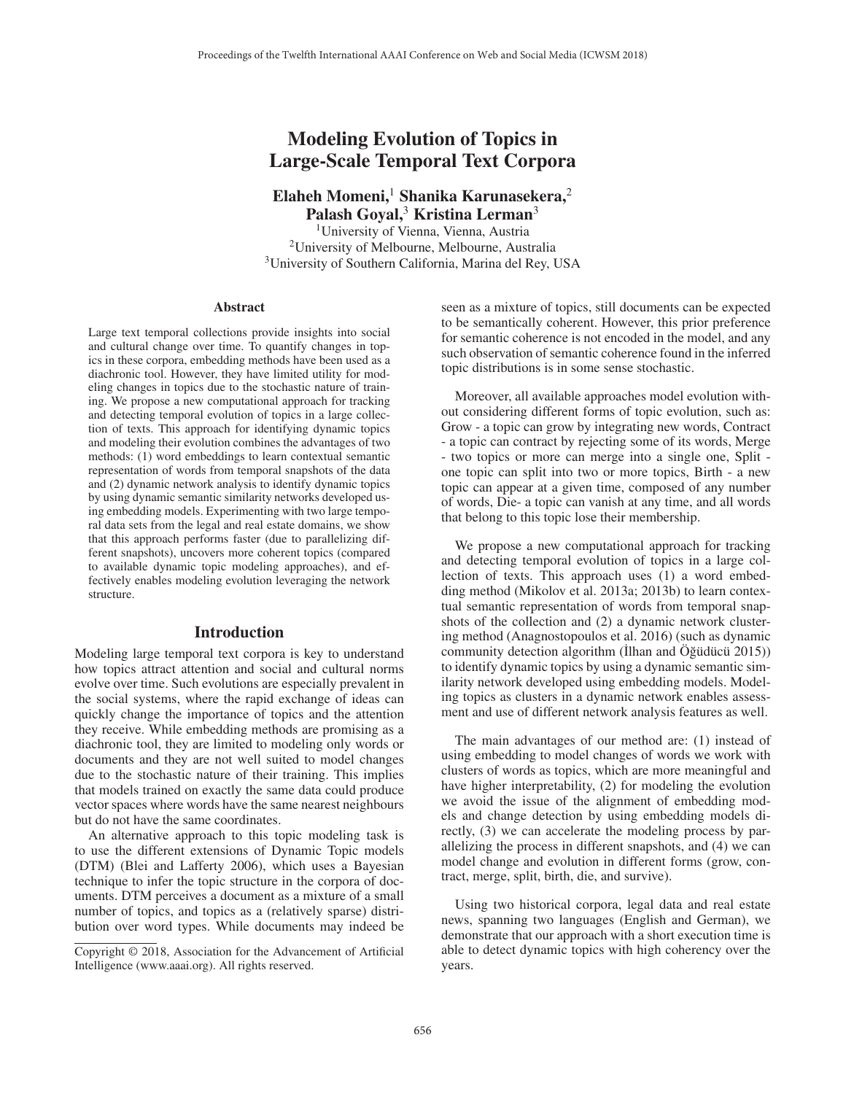# Modeling Evolution of Topics in Large-Scale Temporal Text Corpora

Elaheh Momeni,<sup>1</sup> Shanika Karunasekera,<sup>2</sup> Palash Goyal,<sup>3</sup> Kristina Lerman<sup>3</sup>

<sup>1</sup>University of Vienna, Vienna, Austria 2University of Melbourne, Melbourne, Australia <sup>3</sup>University of Southern California, Marina del Rey, USA

#### **Abstract**

Large text temporal collections provide insights into social and cultural change over time. To quantify changes in topics in these corpora, embedding methods have been used as a diachronic tool. However, they have limited utility for modeling changes in topics due to the stochastic nature of training. We propose a new computational approach for tracking and detecting temporal evolution of topics in a large collection of texts. This approach for identifying dynamic topics and modeling their evolution combines the advantages of two methods: (1) word embeddings to learn contextual semantic representation of words from temporal snapshots of the data and (2) dynamic network analysis to identify dynamic topics by using dynamic semantic similarity networks developed using embedding models. Experimenting with two large temporal data sets from the legal and real estate domains, we show that this approach performs faster (due to parallelizing different snapshots), uncovers more coherent topics (compared to available dynamic topic modeling approaches), and effectively enables modeling evolution leveraging the network structure.

### Introduction

Modeling large temporal text corpora is key to understand how topics attract attention and social and cultural norms evolve over time. Such evolutions are especially prevalent in the social systems, where the rapid exchange of ideas can quickly change the importance of topics and the attention they receive. While embedding methods are promising as a diachronic tool, they are limited to modeling only words or documents and they are not well suited to model changes due to the stochastic nature of their training. This implies that models trained on exactly the same data could produce vector spaces where words have the same nearest neighbours but do not have the same coordinates.

An alternative approach to this topic modeling task is to use the different extensions of Dynamic Topic models (DTM) (Blei and Lafferty 2006), which uses a Bayesian technique to infer the topic structure in the corpora of documents. DTM perceives a document as a mixture of a small number of topics, and topics as a (relatively sparse) distribution over word types. While documents may indeed be seen as a mixture of topics, still documents can be expected to be semantically coherent. However, this prior preference for semantic coherence is not encoded in the model, and any such observation of semantic coherence found in the inferred topic distributions is in some sense stochastic.

Moreover, all available approaches model evolution without considering different forms of topic evolution, such as: Grow - a topic can grow by integrating new words, Contract - a topic can contract by rejecting some of its words, Merge - two topics or more can merge into a single one, Split one topic can split into two or more topics, Birth - a new topic can appear at a given time, composed of any number of words, Die- a topic can vanish at any time, and all words that belong to this topic lose their membership.

We propose a new computational approach for tracking and detecting temporal evolution of topics in a large collection of texts. This approach uses (1) a word embedding method (Mikolov et al. 2013a; 2013b) to learn contextual semantic representation of words from temporal snapshots of the collection and (2) a dynamic network clustering method (Anagnostopoulos et al. 2016) (such as dynamic community detection algorithm ( $\dot{\text{I}}$ lhan and  $\ddot{\text{O}}\ddot{\text{g}}\ddot{\text{u}}$  unit 2015)) to identify dynamic topics by using a dynamic semantic similarity network developed using embedding models. Modeling topics as clusters in a dynamic network enables assessment and use of different network analysis features as well.

The main advantages of our method are: (1) instead of using embedding to model changes of words we work with clusters of words as topics, which are more meaningful and have higher interpretability, (2) for modeling the evolution we avoid the issue of the alignment of embedding models and change detection by using embedding models directly, (3) we can accelerate the modeling process by parallelizing the process in different snapshots, and (4) we can model change and evolution in different forms (grow, contract, merge, split, birth, die, and survive).

Using two historical corpora, legal data and real estate news, spanning two languages (English and German), we demonstrate that our approach with a short execution time is able to detect dynamic topics with high coherency over the years.

Copyright © 2018, Association for the Advancement of Artificial Intelligence (www.aaai.org). All rights reserved.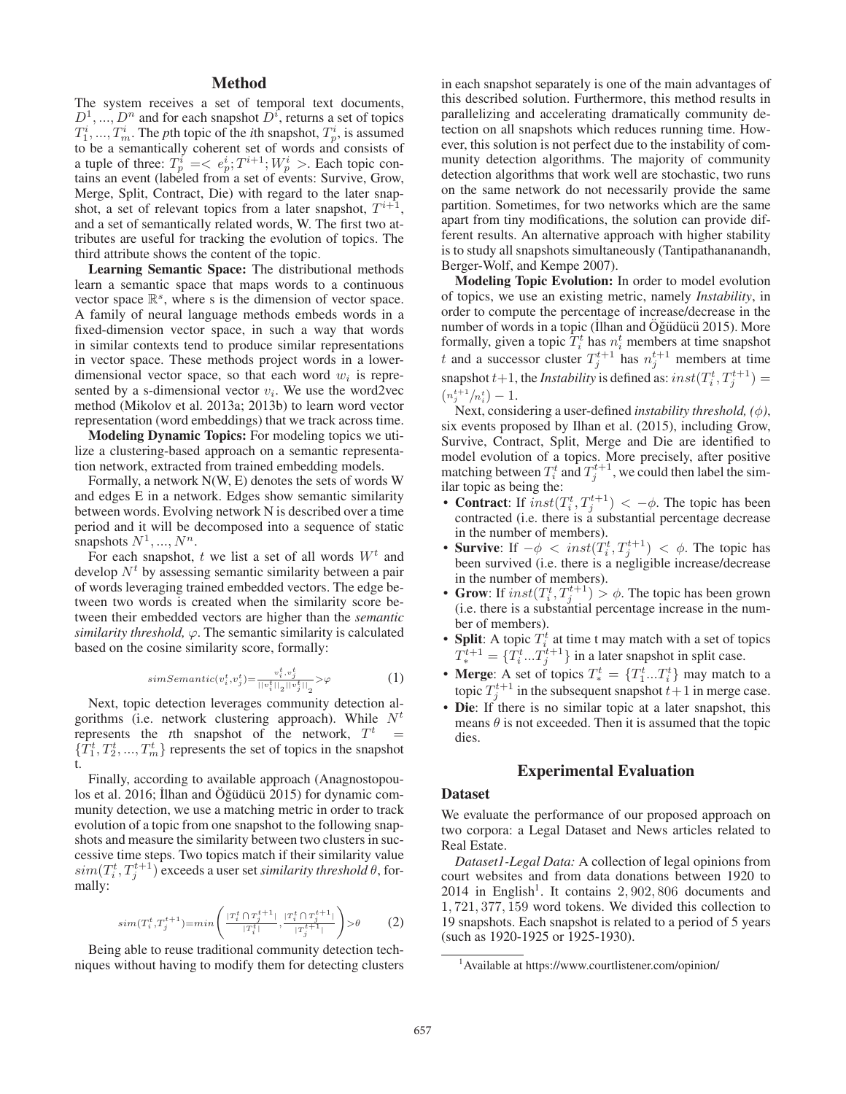# Method

The system receives a set of temporal text documents,  $D^1, ..., D^n$  and for each snapshot  $D^i$ , returns a set of topics  $T_1^i, ..., T_m^i$ . The *p*th topic of the *i*th snapshot,  $T_p^i$ , is assumed to be a semantically coherent set of words and consists of a tuple of three:  $T_p^i = \langle e_p^i; T^{i+1}; W_p^i \rangle$ . Each topic contains an event (labeled from a set of events: Survive, Grow, Merge, Split, Contract, Die) with regard to the later snapshot, a set of relevant topics from a later snapshot,  $T^{i+1}$ , and a set of semantically related words, W. The first two attributes are useful for tracking the evolution of topics. The third attribute shows the content of the topic.

Learning Semantic Space: The distributional methods learn a semantic space that maps words to a continuous vector space  $\mathbb{R}^s$ , where s is the dimension of vector space. A family of neural language methods embeds words in a fixed-dimension vector space, in such a way that words in similar contexts tend to produce similar representations in vector space. These methods project words in a lowerdimensional vector space, so that each word  $w_i$  is represented by a s-dimensional vector  $v_i$ . We use the word2vec method (Mikolov et al. 2013a; 2013b) to learn word vector representation (word embeddings) that we track across time.

Modeling Dynamic Topics: For modeling topics we utilize a clustering-based approach on a semantic representation network, extracted from trained embedding models.

Formally, a network N(W, E) denotes the sets of words W and edges E in a network. Edges show semantic similarity between words. Evolving network N is described over a time period and it will be decomposed into a sequence of static snapshots  $N^1, ..., N^n$ .

For each snapshot, t we list a set of all words  $W<sup>t</sup>$  and develop  $N<sup>t</sup>$  by assessing semantic similarity between a pair of words leveraging trained embedded vectors. The edge between two words is created when the similarity score between their embedded vectors are higher than the *semantic similarity threshold,*  $\varphi$ . The semantic similarity is calculated based on the cosine similarity score, formally:

$$
simSemantic(v_i^t, v_j^t) = \frac{v_i^t, v_j^t}{||v_i^t||_2||v_j^t||_2} > \varphi
$$
\n<sup>(1)</sup>

Next, topic detection leverages community detection algorithms (i.e. network clustering approach). While  $N<sup>t</sup>$ represents the *t*th snapshot of the network,  $T<sup>t</sup>$  $\{\bar{T}_1^t, T_2^t, ..., T_m^t\}$  represents the set of topics in the snapshot t.

Finally, according to available approach (Anagnostopoulos et al. 2016; Ilhan and Oğüdücü 2015) for dynamic community detection, we use a matching metric in order to track evolution of a topic from one snapshot to the following snapshots and measure the similarity between two clusters in successive time steps. Two topics match if their similarity value  $\mathit{sim}(T_i^t, T_j^{t+1})$  exceeds a user set *similarity threshold*  $\theta$ , formally:

$$
sim(T_i^t, T_j^{t+1}) = min\left(\frac{|T_i^t \cap T_j^{t+1}|}{|T_i^t|}, \frac{|T_i^t \cap T_j^{t+1}|}{|T_j^{t+1}|}\right) > \theta \tag{2}
$$

Being able to reuse traditional community detection techniques without having to modify them for detecting clusters in each snapshot separately is one of the main advantages of this described solution. Furthermore, this method results in parallelizing and accelerating dramatically community detection on all snapshots which reduces running time. However, this solution is not perfect due to the instability of community detection algorithms. The majority of community detection algorithms that work well are stochastic, two runs on the same network do not necessarily provide the same partition. Sometimes, for two networks which are the same apart from tiny modifications, the solution can provide different results. An alternative approach with higher stability is to study all snapshots simultaneously (Tantipathananandh, Berger-Wolf, and Kempe 2007).

Modeling Topic Evolution: In order to model evolution of topics, we use an existing metric, namely *Instability*, in order to compute the percentage of increase/decrease in the number of words in a topic (İlhan and Öğüdücü 2015). More formally, given a topic  $T_i^t$  has  $n_i^t$  members at time snapshot t and a successor cluster  $T_j^{t+1}$  has  $n_j^{t+1}$  members at time snapshot  $t+1$ , the *Instability* is defined as:  $inst(T_i^t, T_j^{t+1}) =$  $\left(n_j^{t+1}/n_i^t\right)-1.$ 

Next, considering a user-defined *instability threshold, (*φ*)*, six events proposed by Ilhan et al. (2015), including Grow, Survive, Contract, Split, Merge and Die are identified to model evolution of a topics. More precisely, after positive matching between  $T_i^t$  and  $T_j^{t+1}$ , we could then label the similar topic as being the:

- **Contract**: If  $inst(T_i^t, T_j^{t+1}) < -\phi$ . The topic has been contracted (i.e. there is a substantial percentage decrease in the number of members).
- Survive: If  $-\phi \, < \, \text{inst}(T_i^t, T_j^{t+1}) \, < \, \phi$ . The topic has been survived (i.e. there is a negligible increase/decrease in the number of members).
- Grow: If  $inst(T_i^t, T_j^{t+1}) > \phi$ . The topic has been grown (i.e. there is a substantial percentage increase in the number of members).
- Split: A topic  $T_i^t$  at time t may match with a set of topics  $T^{t+1}_* = \{T^t_i ... T^{t+1}_j\}$  in a later snapshot in split case.
- Merge: A set of topics  $T_*^t = \{T_1^t...T_i^t\}$  may match to a topic  $T_j^{t+1}$  in the subsequent snapshot  $t+1$  in merge case.
- Die: If there is no similar topic at a later snapshot, this means  $\theta$  is not exceeded. Then it is assumed that the topic dies.

# Experimental Evaluation

### Dataset

We evaluate the performance of our proposed approach on two corpora: a Legal Dataset and News articles related to Real Estate.

*Dataset1-Legal Data:* A collection of legal opinions from court websites and from data donations between 1920 to  $2014$  in English<sup>1</sup>. It contains  $2,902,806$  documents and 1, 721, 377, 159 word tokens. We divided this collection to 19 snapshots. Each snapshot is related to a period of 5 years (such as 1920-1925 or 1925-1930).

<sup>1</sup> Available at https://www.courtlistener.com/opinion/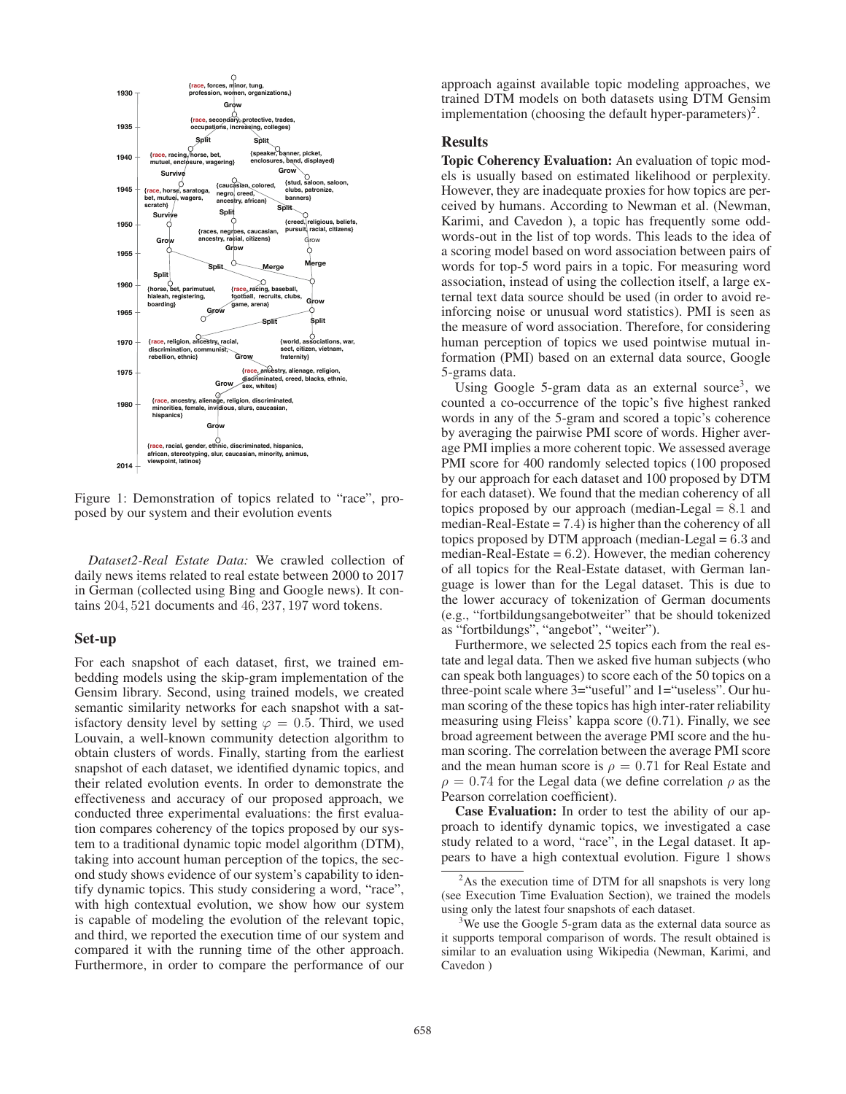

Figure 1: Demonstration of topics related to "race", proposed by our system and their evolution events

*Dataset2-Real Estate Data:* We crawled collection of daily news items related to real estate between 2000 to 2017 in German (collected using Bing and Google news). It contains 204, 521 documents and 46, 237, 197 word tokens.

### Set-up

For each snapshot of each dataset, first, we trained embedding models using the skip-gram implementation of the Gensim library. Second, using trained models, we created semantic similarity networks for each snapshot with a satisfactory density level by setting  $\varphi = 0.5$ . Third, we used Louvain, a well-known community detection algorithm to obtain clusters of words. Finally, starting from the earliest snapshot of each dataset, we identified dynamic topics, and their related evolution events. In order to demonstrate the effectiveness and accuracy of our proposed approach, we conducted three experimental evaluations: the first evaluation compares coherency of the topics proposed by our system to a traditional dynamic topic model algorithm (DTM), taking into account human perception of the topics, the second study shows evidence of our system's capability to identify dynamic topics. This study considering a word, "race", with high contextual evolution, we show how our system is capable of modeling the evolution of the relevant topic, and third, we reported the execution time of our system and compared it with the running time of the other approach. Furthermore, in order to compare the performance of our

approach against available topic modeling approaches, we trained DTM models on both datasets using DTM Gensim implementation (choosing the default hyper-parameters)<sup>2</sup>.

# Results

Topic Coherency Evaluation: An evaluation of topic models is usually based on estimated likelihood or perplexity. However, they are inadequate proxies for how topics are perceived by humans. According to Newman et al. (Newman, Karimi, and Cavedon ), a topic has frequently some oddwords-out in the list of top words. This leads to the idea of a scoring model based on word association between pairs of words for top-5 word pairs in a topic. For measuring word association, instead of using the collection itself, a large external text data source should be used (in order to avoid reinforcing noise or unusual word statistics). PMI is seen as the measure of word association. Therefore, for considering human perception of topics we used pointwise mutual information (PMI) based on an external data source, Google 5-grams data.

Using Google 5-gram data as an external source<sup>3</sup>, we counted a co-occurrence of the topic's five highest ranked words in any of the 5-gram and scored a topic's coherence by averaging the pairwise PMI score of words. Higher average PMI implies a more coherent topic. We assessed average PMI score for 400 randomly selected topics (100 proposed by our approach for each dataset and 100 proposed by DTM for each dataset). We found that the median coherency of all topics proposed by our approach (median-Legal = 8.1 and median-Real-Estate = 7.4) is higher than the coherency of all topics proposed by DTM approach (median-Legal = 6.3 and median-Real-Estate  $= 6.2$ ). However, the median coherency of all topics for the Real-Estate dataset, with German language is lower than for the Legal dataset. This is due to the lower accuracy of tokenization of German documents (e.g., "fortbildungsangebotweiter" that be should tokenized as "fortbildungs", "angebot", "weiter").

Furthermore, we selected 25 topics each from the real estate and legal data. Then we asked five human subjects (who can speak both languages) to score each of the 50 topics on a three-point scale where 3="useful" and 1="useless". Our human scoring of the these topics has high inter-rater reliability measuring using Fleiss' kappa score (0.71). Finally, we see broad agreement between the average PMI score and the human scoring. The correlation between the average PMI score and the mean human score is  $\rho = 0.71$  for Real Estate and  $\rho = 0.74$  for the Legal data (we define correlation  $\rho$  as the Pearson correlation coefficient).

Case Evaluation: In order to test the ability of our approach to identify dynamic topics, we investigated a case study related to a word, "race", in the Legal dataset. It appears to have a high contextual evolution. Figure 1 shows

<sup>&</sup>lt;sup>2</sup>As the execution time of DTM for all snapshots is very long (see Execution Time Evaluation Section), we trained the models using only the latest four snapshots of each dataset.

<sup>&</sup>lt;sup>3</sup>We use the Google 5-gram data as the external data source as it supports temporal comparison of words. The result obtained is similar to an evaluation using Wikipedia (Newman, Karimi, and Cavedon )